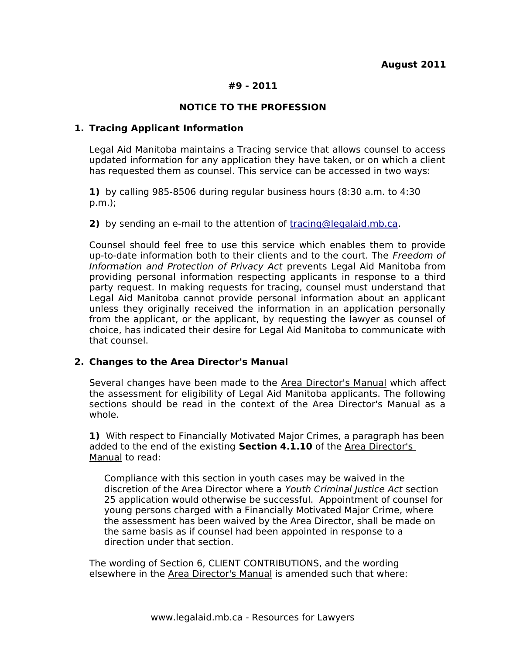## **#9 - 2011**

## **NOTICE TO THE PROFESSION**

#### **1. Tracing Applicant Information**

Legal Aid Manitoba maintains a Tracing service that allows counsel to access updated information for any application they have taken, or on which a client has requested them as counsel. This service can be accessed in two ways:

**1)** by calling 985-8506 during regular business hours (8:30 a.m. to 4:30 p.m.);

**2)** by sending an e-mail to the attention of [tracing@legalaid.mb.ca.](mailto:tracing@legalaid.mmb.ca)

Counsel should feel free to use this service which enables them to provide up-to-date information both to their clients and to the court. The Freedom of Information and Protection of Privacy Act prevents Legal Aid Manitoba from providing personal information respecting applicants in response to a third party request. In making requests for tracing, counsel must understand that Legal Aid Manitoba cannot provide personal information about an applicant unless they originally received the information in an application personally from the applicant, or the applicant, by requesting the lawyer as counsel of choice, has indicated their desire for Legal Aid Manitoba to communicate with that counsel.

#### **2. Changes to the Area Director's Manual**

Several changes have been made to the Area Director's Manual which affect the assessment for eligibility of Legal Aid Manitoba applicants. The following sections should be read in the context of the Area Director's Manual as a whole.

**1)** With respect to Financially Motivated Major Crimes, a paragraph has been added to the end of the existing **Section 4.1.10** of the Area Director's Manual to read:

Compliance with this section in youth cases may be waived in the discretion of the Area Director where a Youth Criminal Justice Act section 25 application would otherwise be successful. Appointment of counsel for young persons charged with a Financially Motivated Major Crime, where the assessment has been waived by the Area Director, shall be made on the same basis as if counsel had been appointed in response to a direction under that section.

The wording of Section 6, CLIENT CONTRIBUTIONS, and the wording elsewhere in the Area Director's Manual is amended such that where: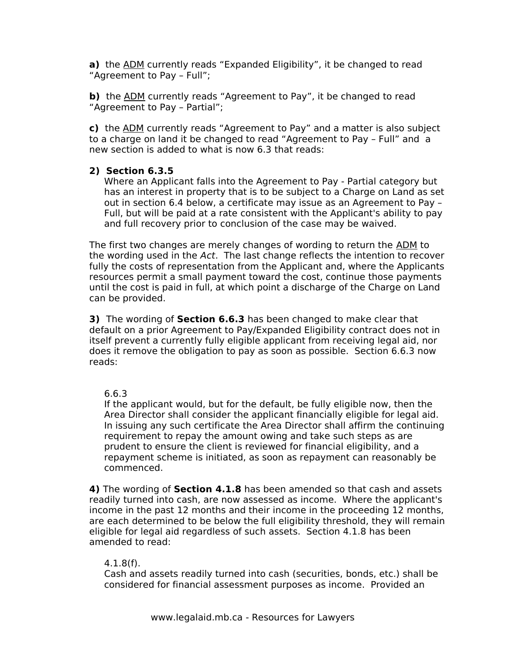**a)** the ADM currently reads "Expanded Eligibility", it be changed to read "Agreement to Pay – Full";

**b)** the ADM currently reads "Agreement to Pay", it be changed to read "Agreement to Pay – Partial";

**c)** the ADM currently reads "Agreement to Pay" and a matter is also subject to a charge on land it be changed to read "Agreement to Pay – Full" and a new section is added to what is now 6.3 that reads:

## **2) Section 6.3.5**

Where an Applicant falls into the Agreement to Pay - Partial category but has an interest in property that is to be subject to a Charge on Land as set out in section 6.4 below, a certificate may issue as an Agreement to Pay – Full, but will be paid at a rate consistent with the Applicant's ability to pay and full recovery prior to conclusion of the case may be waived.

The first two changes are merely changes of wording to return the ADM to the wording used in the Act. The last change reflects the intention to recover fully the costs of representation from the Applicant and, where the Applicants resources permit a small payment toward the cost, continue those payments until the cost is paid in full, at which point a discharge of the Charge on Land can be provided.

**3)** The wording of **Section 6.6.3** has been changed to make clear that default on a prior Agreement to Pay/Expanded Eligibility contract does not in itself prevent a currently fully eligible applicant from receiving legal aid, nor does it remove the obligation to pay as soon as possible. Section 6.6.3 now reads:

#### 6.6.3

If the applicant would, but for the default, be fully eligible now, then the Area Director shall consider the applicant financially eligible for legal aid. In issuing any such certificate the Area Director shall affirm the continuing requirement to repay the amount owing and take such steps as are prudent to ensure the client is reviewed for financial eligibility, and a repayment scheme is initiated, as soon as repayment can reasonably be commenced.

**4)** The wording of **Section 4.1.8** has been amended so that cash and assets readily turned into cash, are now assessed as income. Where the applicant's income in the past 12 months and their income in the proceeding 12 months, are each determined to be below the full eligibility threshold, they will remain eligible for legal aid regardless of such assets. Section 4.1.8 has been amended to read:

#### 4.1.8(f).

Cash and assets readily turned into cash (securities, bonds, etc.) shall be considered for financial assessment purposes as income. Provided an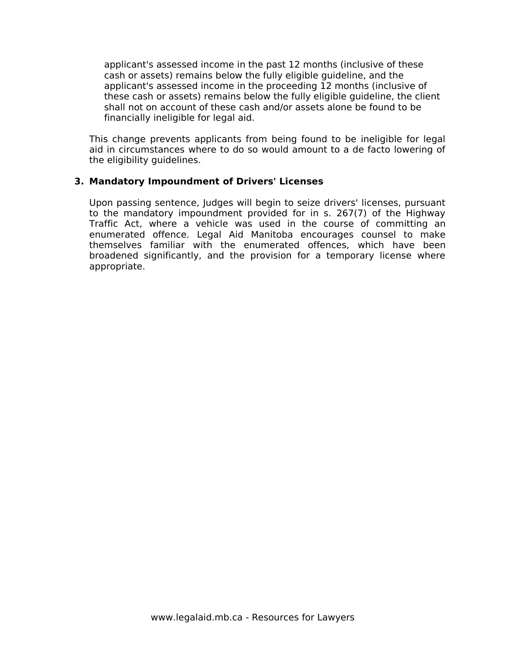applicant's assessed income in the past 12 months (inclusive of these cash or assets) remains below the fully eligible guideline, and the applicant's assessed income in the proceeding 12 months (inclusive of these cash or assets) remains below the fully eligible guideline, the client shall not on account of these cash and/or assets alone be found to be financially ineligible for legal aid.

This change prevents applicants from being found to be ineligible for legal aid in circumstances where to do so would amount to a de facto lowering of the eligibility guidelines.

## **3. Mandatory Impoundment of Drivers' Licenses**

Upon passing sentence, Judges will begin to seize drivers' licenses, pursuant to the mandatory impoundment provided for in s. 267(7) of the Highway Traffic Act, where a vehicle was used in the course of committing an enumerated offence. Legal Aid Manitoba encourages counsel to make themselves familiar with the enumerated offences, which have been broadened significantly, and the provision for a temporary license where appropriate.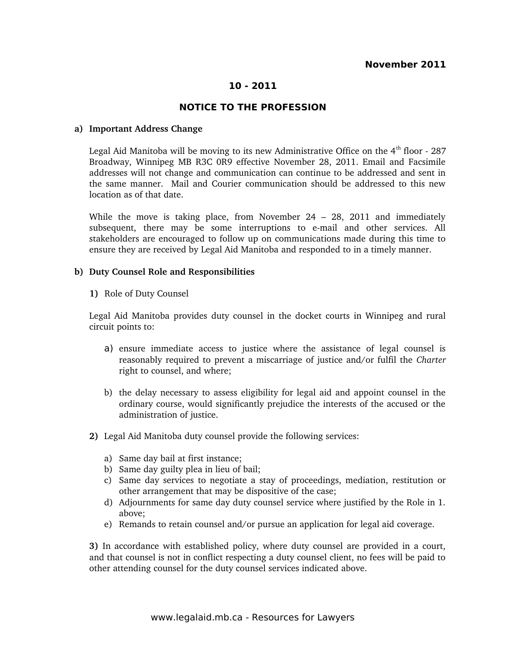## **10 - 2011**

#### **NOTICE TO THE PROFESSION**

#### **a) Important Address Change**

Legal Aid Manitoba will be moving to its new Administrative Office on the  $4<sup>th</sup>$  floor - 287 Broadway, Winnipeg MB R3C 0R9 effective November 28, 2011. Email and Facsimile addresses will not change and communication can continue to be addressed and sent in the same manner. Mail and Courier communication should be addressed to this new location as of that date.

While the move is taking place, from November  $24 - 28$ , 2011 and immediately subsequent, there may be some interruptions to e-mail and other services. All stakeholders are encouraged to follow up on communications made during this time to ensure they are received by Legal Aid Manitoba and responded to in a timely manner.

#### **b) Duty Counsel Role and Responsibilities**

**1)** Role of Duty Counsel

Legal Aid Manitoba provides duty counsel in the docket courts in Winnipeg and rural circuit points to:

- a) ensure immediate access to justice where the assistance of legal counsel is reasonably required to prevent a miscarriage of justice and/or fulfil the *Charter* right to counsel, and where;
- b) the delay necessary to assess eligibility for legal aid and appoint counsel in the ordinary course, would significantly prejudice the interests of the accused or the administration of justice.
- **2)** Legal Aid Manitoba duty counsel provide the following services:
	- a) Same day bail at first instance;
	- b) Same day guilty plea in lieu of bail;
	- c) Same day services to negotiate a stay of proceedings, mediation, restitution or other arrangement that may be dispositive of the case;
	- d) Adjournments for same day duty counsel service where justified by the Role in 1. above;
	- e) Remands to retain counsel and/or pursue an application for legal aid coverage.

**3)** In accordance with established policy, where duty counsel are provided in a court, and that counsel is not in conflict respecting a duty counsel client, no fees will be paid to other attending counsel for the duty counsel services indicated above.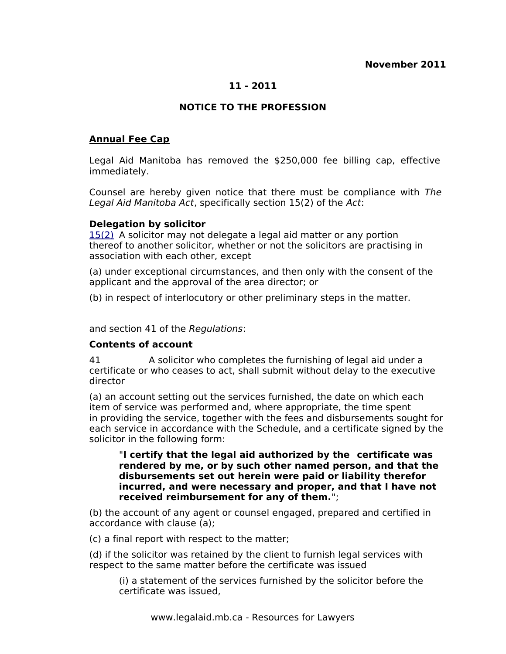# **11 - 2011**

# **NOTICE TO THE PROFESSION**

## **Annual Fee Cap**

Legal Aid Manitoba has removed the \$250,000 fee billing cap, effective immediately.

Counsel are hereby given notice that there must be compliance with The Legal Aid Manitoba Act, specifically section 15(2) of the Act:

#### **Delegation by solicitor**

[15\(2\)](http://web2.gov.mb.ca/laws/statutes/ccsm/l105f.php#15(2)) A solicitor may not delegate a legal aid matter or any portion thereof to another solicitor, whether or not the solicitors are practising in association with each other, except

(a) under exceptional circumstances, and then only with the consent of the applicant and the approval of the area director; or

(b) in respect of interlocutory or other preliminary steps in the matter.

and section 41 of the Regulations:

#### **Contents of account**

41 A solicitor who completes the furnishing of legal aid under a certificate or who ceases to act, shall submit without delay to the executive director

(a) an account setting out the services furnished, the date on which each item of service was performed and, where appropriate, the time spent in providing the service, together with the fees and disbursements sought for each service in accordance with the Schedule, and a certificate signed by the solicitor in the following form:

#### "**I certify that the legal aid authorized by the certificate was rendered by me, or by such other named person, and that the disbursements set out herein were paid or liability therefor incurred, and were necessary and proper, and that I have not received reimbursement for any of them.**";

(b) the account of any agent or counsel engaged, prepared and certified in accordance with clause (a);

(c) a final report with respect to the matter;

(d) if the solicitor was retained by the client to furnish legal services with respect to the same matter before the certificate was issued

(i) a statement of the services furnished by the solicitor before the certificate was issued,